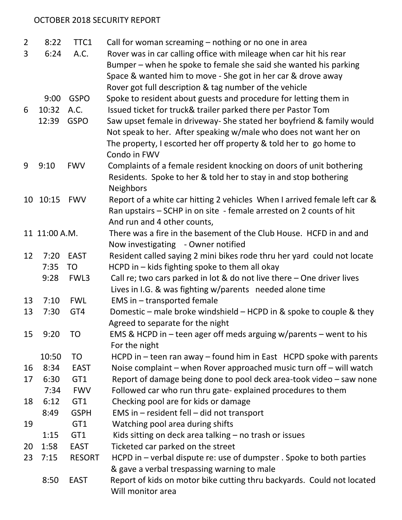## OCTOBER 2018 SECURITY REPORT

| $\overline{2}$  | 8:22          | TTC1          | Call for woman screaming - nothing or no one in area                      |
|-----------------|---------------|---------------|---------------------------------------------------------------------------|
| 3               | 6:24          | A.C.          | Rover was in car calling office with mileage when car hit his rear        |
|                 |               |               | Bumper – when he spoke to female she said she wanted his parking          |
|                 |               |               | Space & wanted him to move - She got in her car & drove away              |
|                 |               |               | Rover got full description & tag number of the vehicle                    |
|                 | 9:00          | <b>GSPO</b>   | Spoke to resident about guests and procedure for letting them in          |
| 6               | 10:32         | A.C.          | Issued ticket for truck& trailer parked there per Pastor Tom              |
|                 | 12:39         | <b>GSPO</b>   | Saw upset female in driveway- She stated her boyfriend & family would     |
|                 |               |               | Not speak to her. After speaking w/male who does not want her on          |
|                 |               |               | The property, I escorted her off property & told her to go home to        |
|                 |               |               | Condo in FWV                                                              |
| 9               | 9:10          | <b>FWV</b>    | Complaints of a female resident knocking on doors of unit bothering       |
|                 |               |               | Residents. Spoke to her & told her to stay in and stop bothering          |
|                 |               |               | <b>Neighbors</b>                                                          |
| 10              | 10:15         | <b>FWV</b>    | Report of a white car hitting 2 vehicles When I arrived female left car & |
|                 |               |               | Ran upstairs - SCHP in on site - female arrested on 2 counts of hit       |
|                 |               |               | And run and 4 other counts,                                               |
|                 | 11 11:00 A.M. |               | There was a fire in the basement of the Club House. HCFD in and and       |
|                 |               |               | Now investigating - Owner notified                                        |
| 12              | 7:20          | <b>EAST</b>   | Resident called saying 2 mini bikes rode thru her yard could not locate   |
|                 | 7:35          | <b>TO</b>     | HCPD in $-$ kids fighting spoke to them all okay                          |
|                 | 9:28          | FWL3          | Call re; two cars parked in lot & do not live there $-$ One driver lives  |
|                 |               |               | Lives in I.G. & was fighting w/parents needed alone time                  |
| 13              | 7:10          | <b>FWL</b>    | EMS in - transported female                                               |
| 13              | 7:30          | GT4           | Domestic – male broke windshield – HCPD in & spoke to couple & they       |
|                 |               |               | Agreed to separate for the night                                          |
| 15 <sup>2</sup> | 9:20          | <b>TO</b>     | EMS & HCPD in $-$ teen ager off meds arguing w/parents $-$ went to his    |
|                 |               |               | For the night                                                             |
|                 | 10:50         | <b>TO</b>     | HCPD in $-$ teen ran away $-$ found him in East HCPD spoke with parents   |
| 16              | 8:34          | <b>EAST</b>   | Noise complaint – when Rover approached music turn off – will watch       |
| 17              | 6:30          | GT1           | Report of damage being done to pool deck area-took video - saw none       |
|                 | 7:34          | <b>FWV</b>    | Followed car who run thru gate-explained procedures to them               |
| 18              | 6:12          | GT1           | Checking pool are for kids or damage                                      |
|                 | 8:49          | <b>GSPH</b>   | EMS in $-$ resident fell $-$ did not transport                            |
| 19              |               | GT1           | Watching pool area during shifts                                          |
|                 | 1:15          | GT1           | Kids sitting on deck area talking - no trash or issues                    |
| 20              | 1:58          | <b>EAST</b>   | Ticketed car parked on the street                                         |
| 23              | 7:15          | <b>RESORT</b> | HCPD in – verbal dispute re: use of dumpster. Spoke to both parties       |
|                 |               |               | & gave a verbal trespassing warning to male                               |
|                 | 8:50          | <b>EAST</b>   | Report of kids on motor bike cutting thru backyards. Could not located    |
|                 |               |               | Will monitor area                                                         |